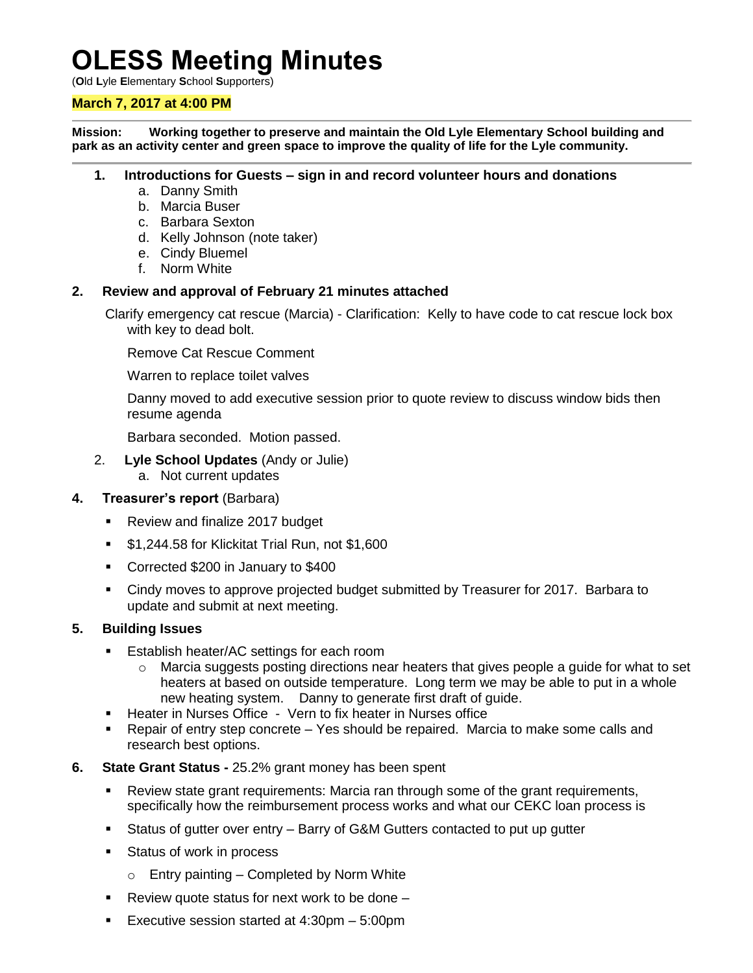# **OLESS Meeting Minutes**

(**O**ld **L**yle **E**lementary **S**chool **S**upporters)

## **March 7, 2017 at 4:00 PM**

**Mission: Working together to preserve and maintain the Old Lyle Elementary School building and park as an activity center and green space to improve the quality of life for the Lyle community.**

#### **1. Introductions for Guests – sign in and record volunteer hours and donations**

- a. Danny Smith
- b. Marcia Buser
- c. Barbara Sexton
- d. Kelly Johnson (note taker)
- e. Cindy Bluemel
- f. Norm White

#### **2. Review and approval of February 21 minutes attached**

Clarify emergency cat rescue (Marcia) - Clarification: Kelly to have code to cat rescue lock box with key to dead bolt.

Remove Cat Rescue Comment

Warren to replace toilet valves

Danny moved to add executive session prior to quote review to discuss window bids then resume agenda

Barbara seconded. Motion passed.

- 2. **Lyle School Updates** (Andy or Julie)
	- a. Not current updates

#### **4. Treasurer's report** (Barbara)

- **Review and finalize 2017 budget**
- \$1,244.58 for Klickitat Trial Run, not \$1,600
- Corrected \$200 in January to \$400
- Cindy moves to approve projected budget submitted by Treasurer for 2017. Barbara to update and submit at next meeting.

#### **5. Building Issues**

- **Establish heater/AC settings for each room** 
	- $\circ$  Marcia suggests posting directions near heaters that gives people a guide for what to set heaters at based on outside temperature. Long term we may be able to put in a whole new heating system. Danny to generate first draft of guide.
- Heater in Nurses Office Vern to fix heater in Nurses office
- Repair of entry step concrete Yes should be repaired. Marcia to make some calls and research best options.
- **6. State Grant Status -** 25.2% grant money has been spent
	- Review state grant requirements: Marcia ran through some of the grant requirements, specifically how the reimbursement process works and what our CEKC loan process is
	- Status of gutter over entry Barry of G&M Gutters contacted to put up gutter
	- **Status of work in process** 
		- $\circ$  Entry painting Completed by Norm White
	- Review quote status for next work to be done  $-$
	- Executive session started at 4:30pm 5:00pm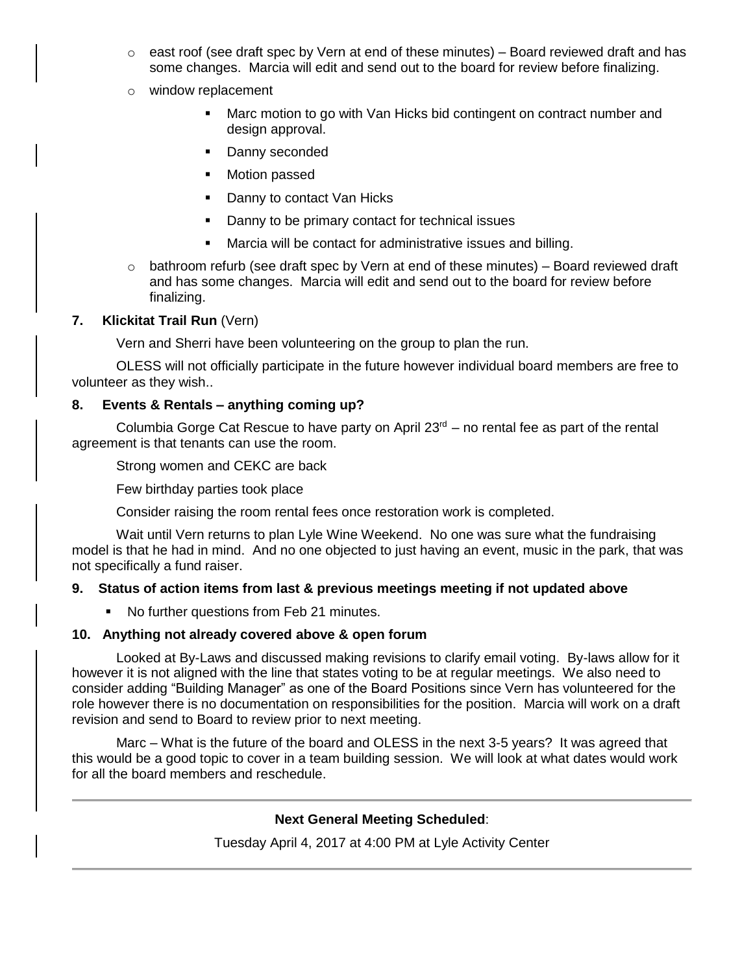$\circ$  east roof (see draft spec by Vern at end of these minutes) – Board reviewed draft and has some changes. Marcia will edit and send out to the board for review before finalizing.

#### o window replacement

- Marc motion to go with Van Hicks bid contingent on contract number and design approval.
- Danny seconded
- Motion passed
- Danny to contact Van Hicks
- Danny to be primary contact for technical issues
- Marcia will be contact for administrative issues and billing.
- $\circ$  bathroom refurb (see draft spec by Vern at end of these minutes) Board reviewed draft and has some changes. Marcia will edit and send out to the board for review before finalizing.

#### **7. Klickitat Trail Run** (Vern)

Vern and Sherri have been volunteering on the group to plan the run.

OLESS will not officially participate in the future however individual board members are free to volunteer as they wish..

## **8. Events & Rentals – anything coming up?**

Columbia Gorge Cat Rescue to have party on April  $23<sup>rd</sup>$  – no rental fee as part of the rental agreement is that tenants can use the room.

Strong women and CEKC are back

Few birthday parties took place

Consider raising the room rental fees once restoration work is completed.

Wait until Vern returns to plan Lyle Wine Weekend. No one was sure what the fundraising model is that he had in mind. And no one objected to just having an event, music in the park, that was not specifically a fund raiser.

## **9. Status of action items from last & previous meetings meeting if not updated above**

• No further questions from Feb 21 minutes.

## **10. Anything not already covered above & open forum**

Looked at By-Laws and discussed making revisions to clarify email voting. By-laws allow for it however it is not aligned with the line that states voting to be at regular meetings. We also need to consider adding "Building Manager" as one of the Board Positions since Vern has volunteered for the role however there is no documentation on responsibilities for the position. Marcia will work on a draft revision and send to Board to review prior to next meeting.

Marc – What is the future of the board and OLESS in the next 3-5 years? It was agreed that this would be a good topic to cover in a team building session. We will look at what dates would work for all the board members and reschedule.

## **Next General Meeting Scheduled**:

Tuesday April 4, 2017 at 4:00 PM at Lyle Activity Center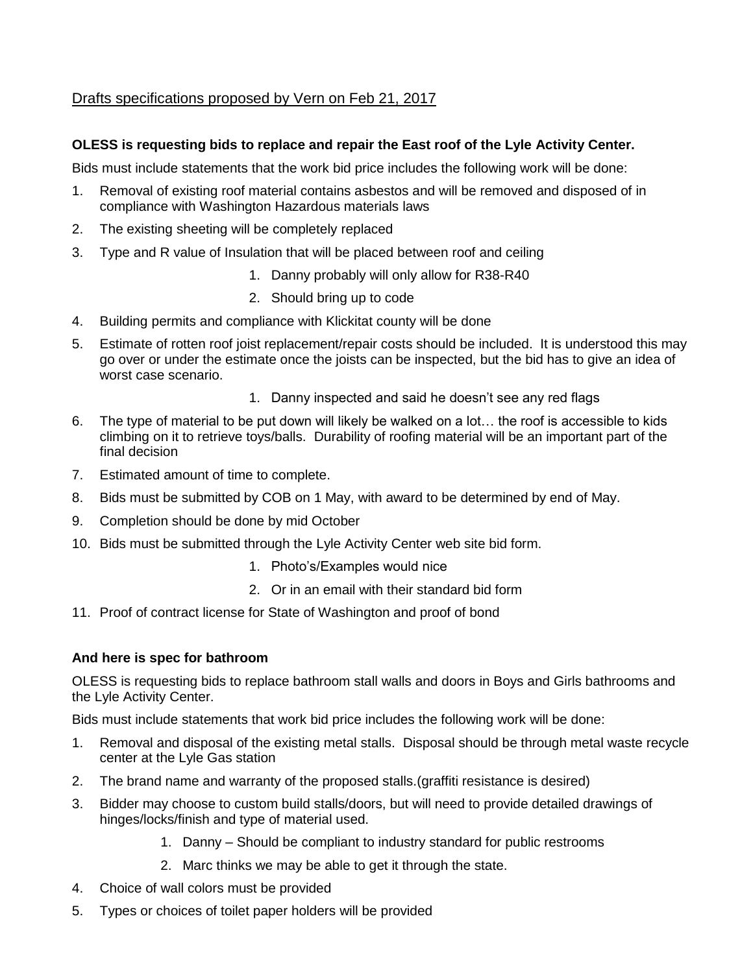# Drafts specifications proposed by Vern on Feb 21, 2017

# **OLESS is requesting bids to replace and repair the East roof of the Lyle Activity Center.**

Bids must include statements that the work bid price includes the following work will be done:

- 1. Removal of existing roof material contains asbestos and will be removed and disposed of in compliance with Washington Hazardous materials laws
- 2. The existing sheeting will be completely replaced
- 3. Type and R value of Insulation that will be placed between roof and ceiling
	- 1. Danny probably will only allow for R38-R40
	- 2. Should bring up to code
- 4. Building permits and compliance with Klickitat county will be done
- 5. Estimate of rotten roof joist replacement/repair costs should be included. It is understood this may go over or under the estimate once the joists can be inspected, but the bid has to give an idea of worst case scenario.
	- 1. Danny inspected and said he doesn't see any red flags
- 6. The type of material to be put down will likely be walked on a lot… the roof is accessible to kids climbing on it to retrieve toys/balls. Durability of roofing material will be an important part of the final decision
- 7. Estimated amount of time to complete.
- 8. Bids must be submitted by COB on 1 May, with award to be determined by end of May.
- 9. Completion should be done by mid October
- 10. Bids must be submitted through the Lyle Activity Center web site bid form.
	- 1. Photo's/Examples would nice
	- 2. Or in an email with their standard bid form
- 11. Proof of contract license for State of Washington and proof of bond

## **And here is spec for bathroom**

OLESS is requesting bids to replace bathroom stall walls and doors in Boys and Girls bathrooms and the Lyle Activity Center.

Bids must include statements that work bid price includes the following work will be done:

- 1. Removal and disposal of the existing metal stalls. Disposal should be through metal waste recycle center at the Lyle Gas station
- 2. The brand name and warranty of the proposed stalls.(graffiti resistance is desired)
- 3. Bidder may choose to custom build stalls/doors, but will need to provide detailed drawings of hinges/locks/finish and type of material used.
	- 1. Danny Should be compliant to industry standard for public restrooms
	- 2. Marc thinks we may be able to get it through the state.
- 4. Choice of wall colors must be provided
- 5. Types or choices of toilet paper holders will be provided